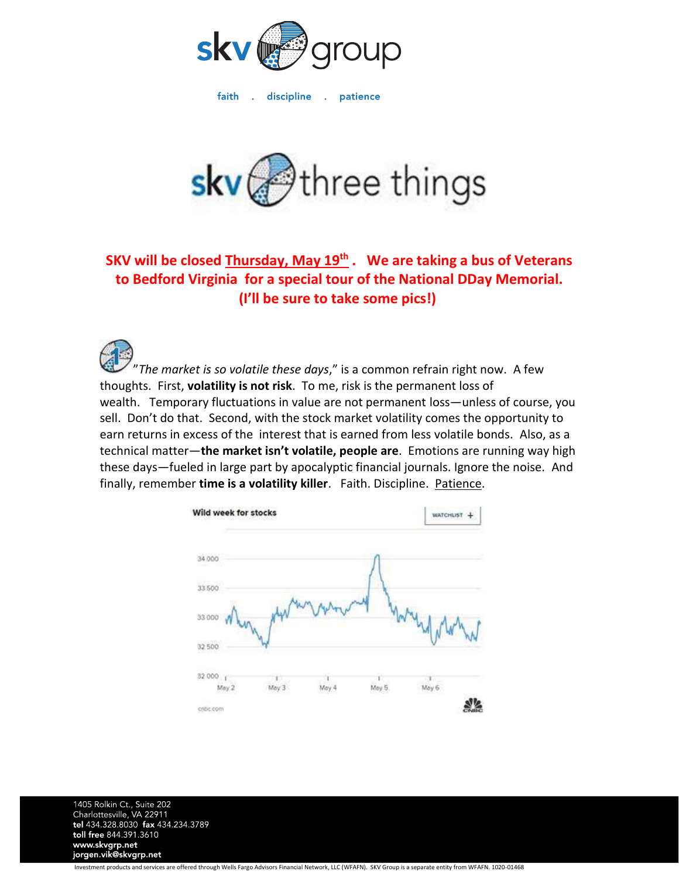

faith discipline . patience  $\sim 10^7$ 



## **SKV will be closed Thursday, May 19th . We are taking a bus of Veterans to Bedford Virginia for a special tour of the National DDay Memorial. (I'll be sure to take some pics!)**

"*The market is so volatile these days*," is a common refrain right now. A few thoughts. First, **volatility is not risk**. To me, risk is the permanent loss of wealth. Temporary fluctuations in value are not permanent loss—unless of course, you sell. Don't do that. Second, with the stock market volatility comes the opportunity to earn returns in excess of the interest that is earned from less volatile bonds. Also, as a technical matter—**the market isn't volatile, people are**. Emotions are running way high these days—fueled in large part by apocalyptic financial journals. Ignore the noise. And finally, remember **time is a volatility killer**. Faith. Discipline. Patience.



1405 Rolkin Ct., Suite 202 Charlottesville, VA 22911 tel 434.328.8030 fax 434.234.3789 toll free 844.391.3610 www.skvgrp.net jorgen.vik@skvgrp.net

Investment products and services are offered through Wells Fargo Advisors Financial Network, LLC (WFAFN). SKV Group is a separate entity from WFAFN. 1020-01468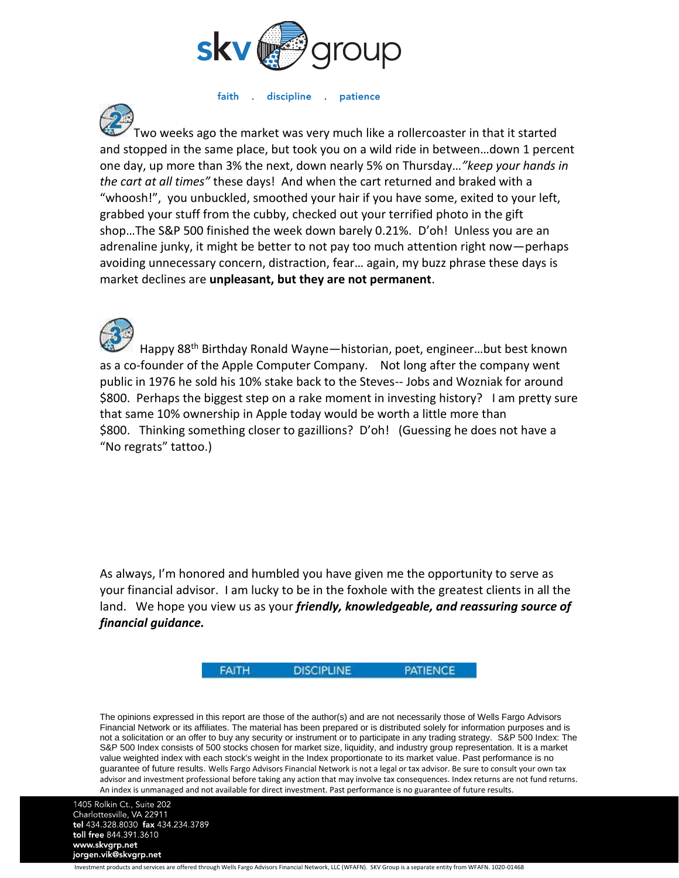

faith . discipline . patience

wo weeks ago the market was very much like a rollercoaster in that it started and stopped in the same place, but took you on a wild ride in between…down 1 percent one day, up more than 3% the next, down nearly 5% on Thursday*…"keep your hands in the cart at all times"* these days! And when the cart returned and braked with a "whoosh!", you unbuckled, smoothed your hair if you have some, exited to your left, grabbed your stuff from the cubby, checked out your terrified photo in the gift shop…The S&P 500 finished the week down barely 0.21%. D'oh! Unless you are an adrenaline junky, it might be better to not pay too much attention right now—perhaps avoiding unnecessary concern, distraction, fear… again, my buzz phrase these days is market declines are **unpleasant, but they are not permanent**.

Happy 88th Birthday Ronald Wayne—historian, poet, engineer…but best known as a co-founder of the Apple Computer Company. Not long after the company went public in 1976 he sold his 10% stake back to the Steves-- Jobs and Wozniak for around \$800. Perhaps the biggest step on a rake moment in investing history? I am pretty sure that same 10% ownership in Apple today would be worth a little more than \$800. Thinking something closer to gazillions? D'oh! (Guessing he does not have a "No regrats" tattoo.)

As always, I'm honored and humbled you have given me the opportunity to serve as your financial advisor. I am lucky to be in the foxhole with the greatest clients in all the land. We hope you view us as your *friendly, knowledgeable, and reassuring source of financial guidance.*

> **DISCIPLINE FAITH**

**PATIENCE** 

The opinions expressed in this report are those of the author(s) and are not necessarily those of Wells Fargo Advisors Financial Network or its affiliates. The material has been prepared or is distributed solely for information purposes and is not a solicitation or an offer to buy any security or instrument or to participate in any trading strategy. S&P 500 Index: The S&P 500 Index consists of 500 stocks chosen for market size, liquidity, and industry group representation. It is a market value weighted index with each stock's weight in the Index proportionate to its market value. Past performance is no guarantee of future results. Wells Fargo Advisors Financial Network is not a legal or tax advisor. Be sure to consult your own tax advisor and investment professional before taking any action that may involve tax consequences. Index returns are not fund returns. An index is unmanaged and not available for direct investment. Past performance is no guarantee of future results.

1405 Rolkin Ct., Suite 202 Charlottesville, VA 22911<br>tel 434.328.8030 fax 434.234.3789 toll free 844.391.3610 www.skvgrp.net jorgen.vik@skvgrp.net

Investment products and services are offered through Wells Fargo Advisors Financial Network, LLC (WFAFN). SKV Group is a separate entity from WFAFN. 1020-01468